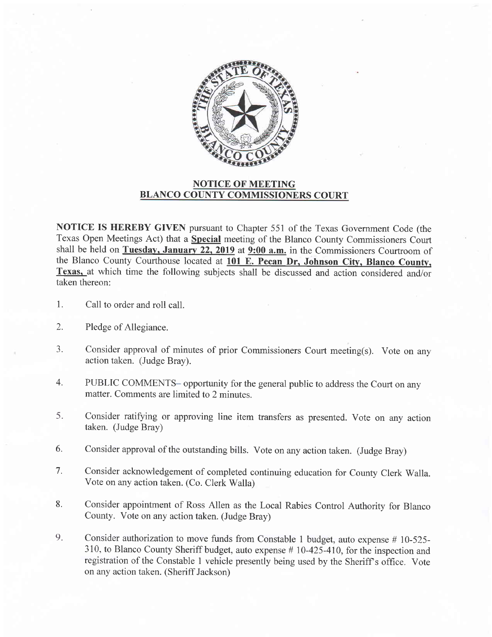

## NOTICE OF MEETING BLANCO COUNTY COMMISSIONERS COURT

NOTICE IS HEREBY GIVEN pursuant to Chapter 551 of the Texas Government Code (the Texas Open Meetings Act) that a Special meeting of the Blanco County Commissioners Court shall be held on Tuesday, January 22, 2019 at  $9:00$  a.m. in the Commissioners Courtroom of the Blanco County Courthouse located at 101 E. Pecan Dr, Johnson City, Blanco County, Texas, at which time the following subjects shall be discussed and action considered and/or taken thereon:

- Call to order and roll call. 1.
- Pledge of Allegiance. 2.
- Consider approval of minutes of prior Commissioners Court meeting(s). Vote on any action taken. (Judge Bray). I J.
- PUBLIC COMMENTS- opportunity for the general public to address the Court on any matter. Comments are limited to 2 minutes. 4.
- Consider ratifying or approving line item transfers as presented. Vote on any action taken. (Judge Bray) 5.
- Consider approval of the outstanding bills. Vote on any action taken. (Judge Bray) 6.
- Consider acknowledgement of completed continuing education for County Clerk Walla. Vote on any action taken. (Co. Clerk Walla) 7.
- Consider appointment of Ross Allen as the Local Rabies Control Authority for Blanco County. Vote on any action taken. (Judge Bray) 8.
- Consider authorization to move funds from Constable 1 budget, auto expense # 10-525- <sup>3</sup>10, to Blanco County Sheriff budget, auto expense # 10-425-410, for the inspection and registration of the Constable I vehicle presently being used by the Sheriff s office. Vote on any action taken. (Sheriff Jackson) 9.